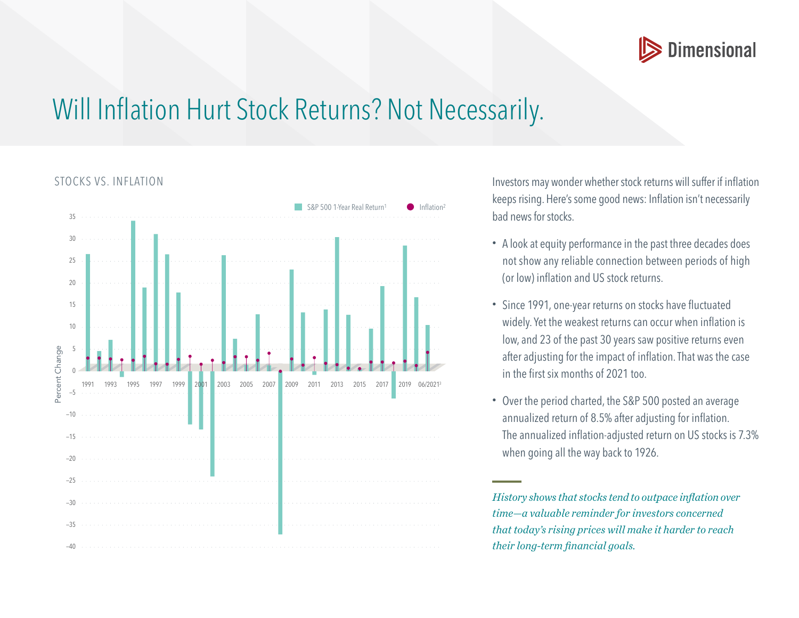

## Will Inflation Hurt Stock Returns? Not Necessarily.



STOCKS VS. INFLATION Investors may wonder whether stock returns will suffer if inflation keeps rising. Here's some good news: Inflation isn't necessarily bad news for stocks.

- A look at equity performance in the past three decades does not show any reliable connection between periods of high (or low) inflation and US stock returns.
- Since 1991, one-year returns on stocks have fluctuated widely. Yet the weakest returns can occur when inflation is low, and 23 of the past 30 years saw positive returns even after adjusting for the impact of inflation. That was the case in the first six months of 2021 too.
- Over the period charted, the S&P 500 posted an average annualized return of 8.5% after adjusting for inflation. The annualized inflation-adjusted return on US stocks is 7.3% when going all the way back to 1926.

*History shows that stocks tend to outpace inflation over time—a valuable reminder for investors concerned that today's rising prices will make it harder to reach their long-term financial goals.*